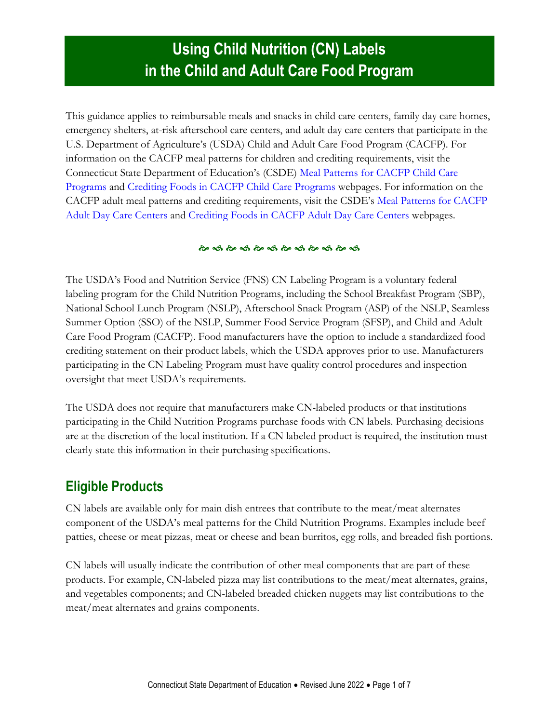# **Using Child Nutrition (CN) Labels in the Child and Adult Care Food Program**

This guidance applies to reimbursable meals and snacks in child care centers, family day care homes, emergency shelters, at-risk afterschool care centers, and adult day care centers that participate in the U.S. Department of Agriculture's (USDA) Child and Adult Care Food Program (CACFP). For information on the CACFP meal patterns for children and crediting requirements, visit the Connecticut State Department of Education's (CSDE) [Meal Patterns for CACFP Child Care](https://portal.ct.gov/SDE/Nutrition/Meal-Patterns-CACFP-Child-Care-Programs)  [Programs](https://portal.ct.gov/SDE/Nutrition/Meal-Patterns-CACFP-Child-Care-Programs) and [Crediting Foods in CACFP Child Care Programs](https://portal.ct.gov/SDE/Nutrition/Crediting-Foods-in-CACFP-Child-Care-Programs) webpages. For information on the CACFP adult meal patterns and crediting requirements, visit the CSDE's [Meal Patterns for CACFP](https://portal.ct.gov/SDE/Nutrition/Meal-Patterns-CACFP-Adult-Centers)  [Adult Day Care Centers](https://portal.ct.gov/SDE/Nutrition/Meal-Patterns-CACFP-Adult-Centers) and [Crediting Foods in CACFP Adult Day Care Centers](https://portal.ct.gov/SDE/Nutrition/Crediting-Foods-in-CACFP-Adult-Day-Care-Centers) webpages.

#### <u>స్థాన స్థాన స్థాన స్థాన స్థాన స్థాన</u>

The USDA's Food and Nutrition Service (FNS) CN Labeling Program is a voluntary federal labeling program for the Child Nutrition Programs, including the School Breakfast Program (SBP), National School Lunch Program (NSLP), Afterschool Snack Program (ASP) of the NSLP, Seamless Summer Option (SSO) of the NSLP, Summer Food Service Program (SFSP), and Child and Adult Care Food Program (CACFP). Food manufacturers have the option to include a standardized food crediting statement on their product labels, which the USDA approves prior to use. Manufacturers participating in the CN Labeling Program must have quality control procedures and inspection oversight that meet USDA's requirements.

The USDA does not require that manufacturers make CN-labeled products or that institutions participating in the Child Nutrition Programs purchase foods with CN labels. Purchasing decisions are at the discretion of the local institution. If a CN labeled product is required, the institution must clearly state this information in their purchasing specifications.

#### **Eligible Products**

CN labels are available only for main dish entrees that contribute to the meat/meat alternates component of the USDA's meal patterns for the Child Nutrition Programs. Examples include beef patties, cheese or meat pizzas, meat or cheese and bean burritos, egg rolls, and breaded fish portions.

CN labels will usually indicate the contribution of other meal components that are part of these products. For example, CN-labeled pizza may list contributions to the meat/meat alternates, grains, and vegetables components; and CN-labeled breaded chicken nuggets may list contributions to the meat/meat alternates and grains components.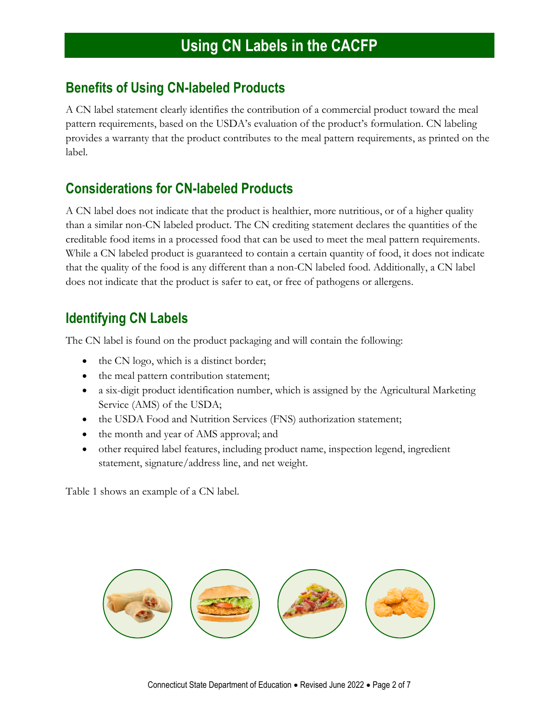### **Benefits of Using CN-labeled Products**

A CN label statement clearly identifies the contribution of a commercial product toward the meal pattern requirements, based on the USDA's evaluation of the product's formulation. CN labeling provides a warranty that the product contributes to the meal pattern requirements, as printed on the label.

### **Considerations for CN-labeled Products**

A CN label does not indicate that the product is healthier, more nutritious, or of a higher quality than a similar non-CN labeled product. The CN crediting statement declares the quantities of the creditable food items in a processed food that can be used to meet the meal pattern requirements. While a CN labeled product is guaranteed to contain a certain quantity of food, it does not indicate that the quality of the food is any different than a non-CN labeled food. Additionally, a CN label does not indicate that the product is safer to eat, or free of pathogens or allergens.

## **Identifying CN Labels**

The CN label is found on the product packaging and will contain the following:

- the CN logo, which is a distinct border;
- the meal pattern contribution statement;
- a six-digit product identification number, which is assigned by the Agricultural Marketing Service (AMS) of the USDA;
- the USDA Food and Nutrition Services (FNS) authorization statement;
- the month and year of AMS approval; and
- other required label features, including product name, inspection legend, ingredient statement, signature/address line, and net weight.

Table 1 shows an example of a CN label.

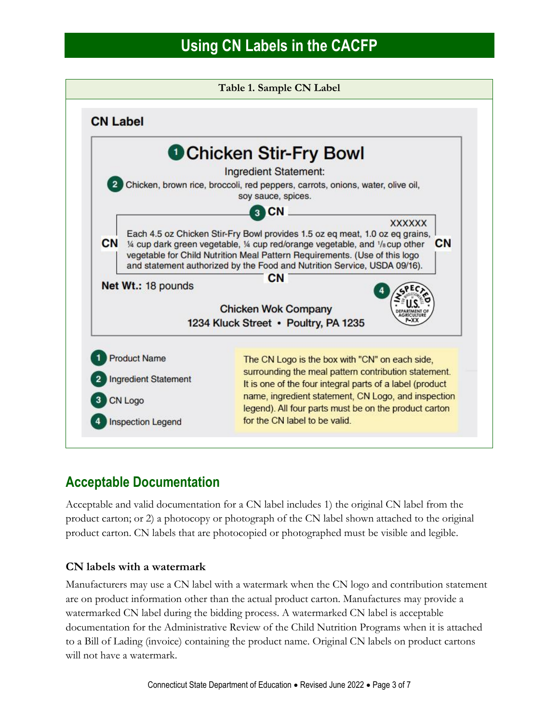

## **Acceptable Documentation**

Acceptable and valid documentation for a CN label includes 1) the original CN label from the product carton; or 2) a photocopy or photograph of the CN label shown attached to the original product carton. CN labels that are photocopied or photographed must be visible and legible.

#### **CN labels with a watermark**

Manufacturers may use a CN label with a watermark when the CN logo and contribution statement are on product information other than the actual product carton. Manufactures may provide a watermarked CN label during the bidding process. A watermarked CN label is acceptable documentation for the Administrative Review of the Child Nutrition Programs when it is attached to a Bill of Lading (invoice) containing the product name. Original CN labels on product cartons will not have a watermark.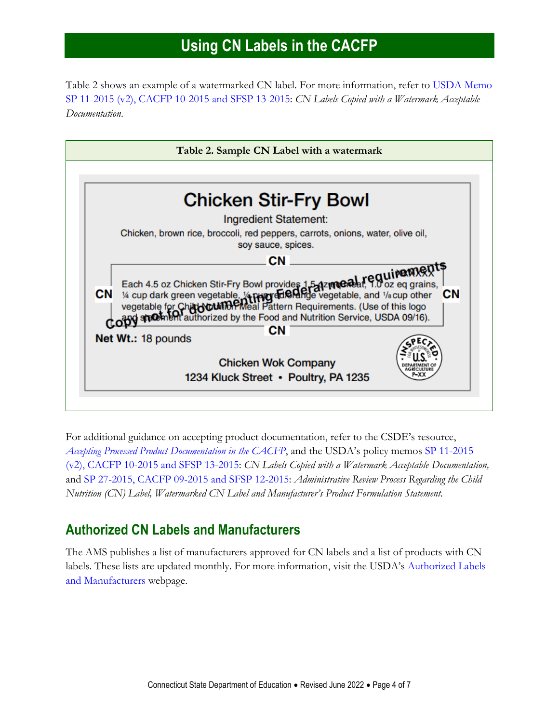Table 2 shows an example of a watermarked CN label. For more information, refer to [USDA Memo](https://www.fns.usda.gov/cn-labels-copied-watermark-acceptable-documentation)  [SP 11-2015 \(v2\), CACFP 10-2015 and SFSP 13-2015:](https://www.fns.usda.gov/cn-labels-copied-watermark-acceptable-documentation) *CN Labels Copied with a Watermark Acceptable Documentation*.



For additional guidance on accepting product documentation, refer to the CSDE's resource, *[Accepting Processed Product Documentation in the CACFP](https://portal.ct.gov/-/media/SDE/Nutrition/CACFP/Crediting/Accepting_Processed_Product_Documentation_CACFP.pdf.)*, and the USDA's policy memos [SP 11-2015](https://www.fns.usda.gov/cn-labels-copied-watermark-acceptable-documentation)  [\(v2\), CACFP 10-2015 and SFSP 13-2015:](https://www.fns.usda.gov/cn-labels-copied-watermark-acceptable-documentation) *CN Labels Copied with a Watermark Acceptable Documentation,* and [SP 27-2015, CACFP 09-2015 and SFSP 12-2015:](https://www.fns.usda.gov/administrative-review-process-regarding-child-nutrition-cn-label-watermarked-cn-label-and) *Administrative Review Process Regarding the Child Nutrition (CN) Label, Watermarked CN Label and Manufacturer's Product Formulation Statement.*

#### **Authorized CN Labels and Manufacturers**

The AMS publishes a list of manufacturers approved for CN labels and a list of products with CN labels. These lists are updated monthly. For more information, visit the USDA's [Authorized Labels](https://www.fns.usda.gov/cn/labeling/usdausdc-authorized-labels-and-manufacturers)  [and Manufacturers](https://www.fns.usda.gov/cn/labeling/usdausdc-authorized-labels-and-manufacturers) webpage.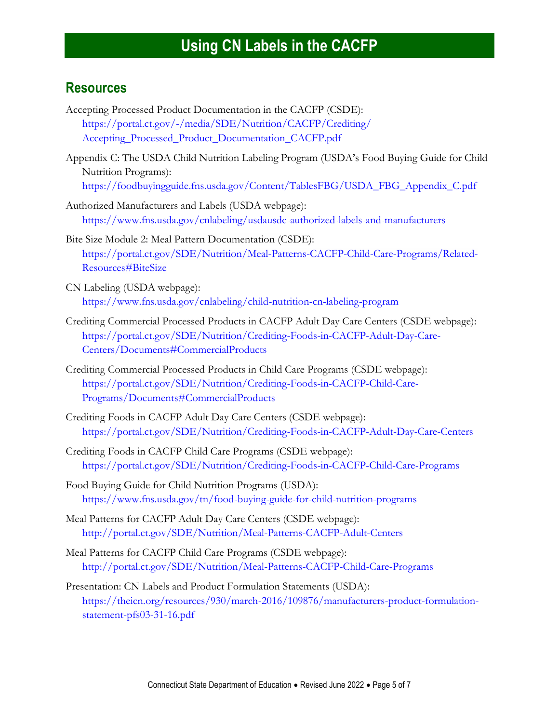#### **Resources**

- Accepting Processed Product Documentation in the CACFP (CSDE): [https://portal.ct.gov/-/media/SDE/Nutrition/CACFP/Crediting/](https://portal.ct.gov/-/media/SDE/Nutrition/CACFP/Crediting/Accepting_Processed_Product_Documentation_CACFP.pdf) [Accepting\\_Processed\\_Product\\_Documentation\\_CACFP.pdf](https://portal.ct.gov/-/media/SDE/Nutrition/CACFP/Crediting/Accepting_Processed_Product_Documentation_CACFP.pdf)
- Appendix C: The USDA Child Nutrition Labeling Program (USDA's Food Buying Guide for Child Nutrition Programs): [https://foodbuyingguide.fns.usda.gov/Content/TablesFBG/USDA\\_FBG\\_Appendix\\_C.pdf](https://foodbuyingguide.fns.usda.gov/Content/TablesFBG/USDA_FBG_Appendix_C.pdf)
- Authorized Manufacturers and Labels (USDA webpage): <https://www.fns.usda.gov/cnlabeling/usdausdc-authorized-labels-and-manufacturers>
- Bite Size Module 2: Meal Pattern Documentation (CSDE): [https://portal.ct.gov/SDE/Nutrition/Meal-Patterns-CACFP-Child-Care-Programs/Related-](https://portal.ct.gov/SDE/Nutrition/Meal-Patterns-CACFP-Child-Care-Programs/Related-Resources#BiteSize)[Resources#BiteSize](https://portal.ct.gov/SDE/Nutrition/Meal-Patterns-CACFP-Child-Care-Programs/Related-Resources#BiteSize)
- CN Labeling (USDA webpage): <https://www.fns.usda.gov/cnlabeling/child-nutrition-cn-labeling-program>
- Crediting Commercial Processed Products in CACFP Adult Day Care Centers (CSDE webpage): [https://portal.ct.gov/SDE/Nutrition/Crediting-Foods-in-CACFP-Adult-Day-Care-](https://portal.ct.gov/SDE/Nutrition/Crediting-Foods-in-CACFP-Adult-Day-Care-Centers/Documents#CommercialProducts)[Centers/Documents#CommercialProducts](https://portal.ct.gov/SDE/Nutrition/Crediting-Foods-in-CACFP-Adult-Day-Care-Centers/Documents#CommercialProducts)
- Crediting Commercial Processed Products in Child Care Programs (CSDE webpage): [https://portal.ct.gov/SDE/Nutrition/Crediting-Foods-in-CACFP-Child-Care-](https://portal.ct.gov/SDE/Nutrition/Crediting-Foods-in-CACFP-Child-Care-Programs/Documents#CommercialProducts)[Programs/Documents#CommercialProducts](https://portal.ct.gov/SDE/Nutrition/Crediting-Foods-in-CACFP-Child-Care-Programs/Documents#CommercialProducts)
- Crediting Foods in CACFP Adult Day Care Centers (CSDE webpage): [https://portal.ct.gov/SDE/Nutrition/Crediting-Foods-in-CACFP-Adult-Day-Care-Centers](http://portal.ct.gov/SDE/Nutrition/Crediting-Foods-in-CACFP-Adult-Day-Care-Centers)
- Crediting Foods in CACFP Child Care Programs (CSDE webpage): [https://portal.ct.gov/SDE/Nutrition/Crediting-Foods-in-CACFP-Child-Care-Programs](http://portal.ct.gov/SDE/Nutrition/Crediting-Foods-in-CACFP-Child-Care-Programs)
- Food Buying Guide for Child Nutrition Programs (USDA): <https://www.fns.usda.gov/tn/food-buying-guide-for-child-nutrition-programs>
- Meal Patterns for CACFP Adult Day Care Centers (CSDE webpage): <http://portal.ct.gov/SDE/Nutrition/Meal-Patterns-CACFP-Adult-Centers>
- Meal Patterns for CACFP Child Care Programs (CSDE webpage): <http://portal.ct.gov/SDE/Nutrition/Meal-Patterns-CACFP-Child-Care-Programs>
- Presentation: CN Labels and Product Formulation Statements (USDA): [https://theicn.org/resources/930/march-2016/109876/manufacturers-product-formulation](https://theicn.org/resources/930/march-2016/109876/manufacturers-product-formulation-statement-pfs03-31-16.pdf)[statement-pfs03-31-16.pdf](https://theicn.org/resources/930/march-2016/109876/manufacturers-product-formulation-statement-pfs03-31-16.pdf)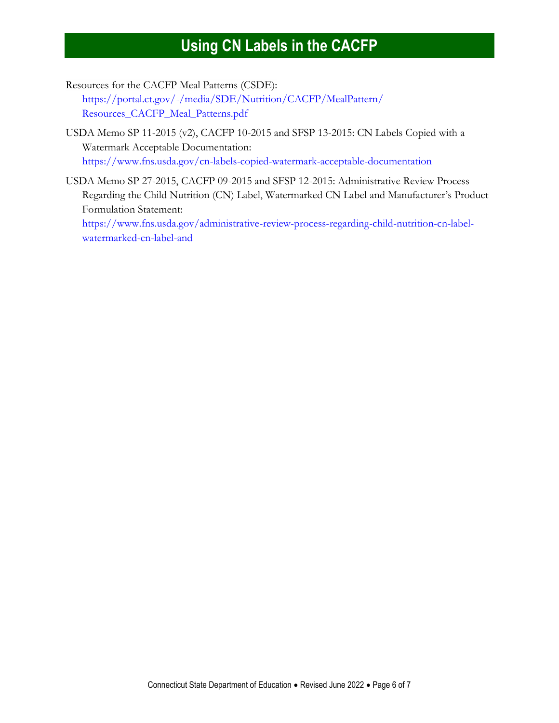Resources for the CACFP Meal Patterns (CSDE):

[https://portal.ct.gov/-/media/SDE/Nutrition/CACFP/MealPattern/](https://portal.ct.gov/-/media/SDE/Nutrition/CACFP/MealPattern/Resources_CACFP_Meal_Patterns.pdf) [Resources\\_CACFP\\_Meal\\_Patterns.pdf](https://portal.ct.gov/-/media/SDE/Nutrition/CACFP/MealPattern/Resources_CACFP_Meal_Patterns.pdf)

- USDA Memo SP 11-2015 (v2), CACFP 10-2015 and SFSP 13-2015: CN Labels Copied with a Watermark Acceptable Documentation: <https://www.fns.usda.gov/cn-labels-copied-watermark-acceptable-documentation>
- USDA Memo SP 27-2015, CACFP 09-2015 and SFSP 12-2015: Administrative Review Process Regarding the Child Nutrition (CN) Label, Watermarked CN Label and Manufacturer's Product Formulation Statement: [https://www.fns.usda.gov/administrative-review-process-regarding-child-nutrition-cn-label](https://www.fns.usda.gov/administrative-review-process-regarding-child-nutrition-cn-label-watermarked-cn-label-and)[watermarked-cn-label-and](https://www.fns.usda.gov/administrative-review-process-regarding-child-nutrition-cn-label-watermarked-cn-label-and)